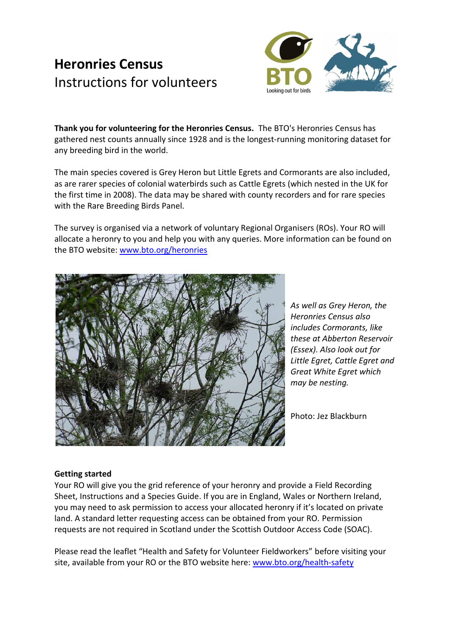# **Heronries Census** Instructions for volunteers



**Thank you for volunteering for the Heronries Census.** The BTO's Heronries Census has gathered nest counts annually since 1928 and is the longest-running monitoring dataset for any breeding bird in the world.

The main species covered is Grey Heron but Little Egrets and Cormorants are also included, as are rarer species of colonial waterbirds such as Cattle Egrets (which nested in the UK for the first time in 2008). The data may be shared with county recorders and for rare species with the Rare Breeding Birds Panel.

The survey is organised via a network of voluntary Regional Organisers (ROs). Your RO will allocate a heronry to you and help you with any queries. More information can be found on the BTO website: [www.bto.org/heronries](http://www.bto.org/heronries)



*As well as Grey Heron, the Heronries Census also includes Cormorants, like these at Abberton Reservoir (Essex). Also look out for Little Egret, Cattle Egret and Great White Egret which may be nesting.* 

Photo: Jez Blackburn

# **Getting started**

Your RO will give you the grid reference of your heronry and provide a Field Recording Sheet, Instructions and a Species Guide. If you are in England, Wales or Northern Ireland, you may need to ask permission to access your allocated heronry if it's located on private land. A standard letter requesting access can be obtained from your RO. Permission requests are not required in Scotland under the Scottish Outdoor Access Code (SOAC).

Please read the leaflet "Health and Safety for Volunteer Fieldworkers" before visiting your site, available from your RO or the BTO website here: [www.bto.org/health-safety](http://www.bto.org/health-safety)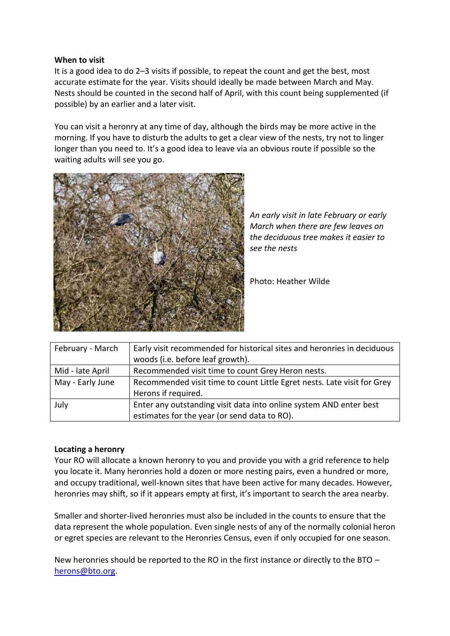## **When to visit**

It is a good idea to do 2–3 visits if possible, to repeat the count and get the best, most accurate estimate for the year. Visits should ideally be made between March and May. Nests should be counted in the second half of April, with this count being supplemented (if possible) by an earlier and a later visit.

You can visit a heronry at any time of day, although the birds may be more active in the morning. If you have to disturb the adults to get a clear view of the nests, try not to linger longer than you need to. It's a good idea to leave via an obvious route if possible so the waiting adults will see you go.



*An early visit in late February or early March when there are few leaves on the deciduous tree makes it easier to see the nests*

Photo: Heather Wilde

| February - March | Early visit recommended for historical sites and heronries in deciduous |
|------------------|-------------------------------------------------------------------------|
|                  | woods (i.e. before leaf growth).                                        |
| Mid - late April | Recommended visit time to count Grey Heron nests.                       |
| May - Early June | Recommended visit time to count Little Egret nests. Late visit for Grey |
|                  | Herons if required.                                                     |
| July             | Enter any outstanding visit data into online system AND enter best      |
|                  | estimates for the year (or send data to RO).                            |

# **Locating a heronry**

Your RO will allocate a known heronry to you and provide you with a grid reference to help you locate it. Many heronries hold a dozen or more nesting pairs, even a hundred or more, and occupy traditional, well-known sites that have been active for many decades. However, heronries may shift, so if it appears empty at first, it's important to search the area nearby.

Smaller and shorter-lived heronries must also be included in the counts to ensure that the data represent the whole population. Even single nests of any of the normally colonial heron or egret species are relevant to the Heronries Census, even if only occupied for one season.

New heronries should be reported to the RO in the first instance or directly to the BTO – [herons@bto.org.](mailto:herons@bto.org)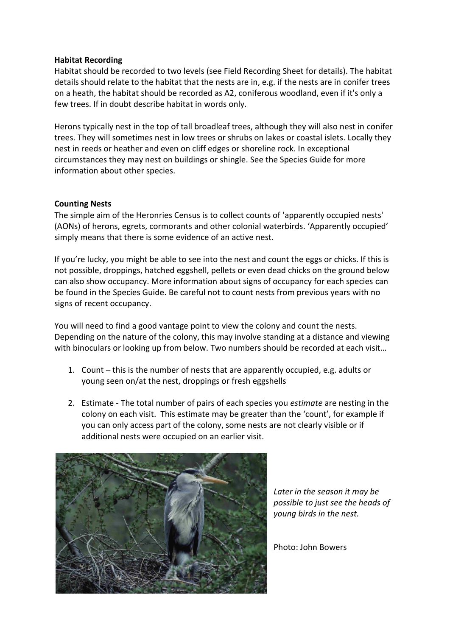## **Habitat Recording**

Habitat should be recorded to two levels (see Field Recording Sheet for details). The habitat details should relate to the habitat that the nests are in, e.g. if the nests are in conifer trees on a heath, the habitat should be recorded as A2, coniferous woodland, even if it's only a few trees. If in doubt describe habitat in words only.

Herons typically nest in the top of tall broadleaf trees, although they will also nest in conifer trees. They will sometimes nest in low trees or shrubs on lakes or coastal islets. Locally they nest in reeds or heather and even on cliff edges or shoreline rock. In exceptional circumstances they may nest on buildings or shingle. See the Species Guide for more information about other species.

## **Counting Nests**

The simple aim of the Heronries Census is to collect counts of 'apparently occupied nests' (AONs) of herons, egrets, cormorants and other colonial waterbirds. 'Apparently occupied' simply means that there is some evidence of an active nest.

If you're lucky, you might be able to see into the nest and count the eggs or chicks. If this is not possible, droppings, hatched eggshell, pellets or even dead chicks on the ground below can also show occupancy. More information about signs of occupancy for each species can be found in the Species Guide. Be careful not to count nests from previous years with no signs of recent occupancy.

You will need to find a good vantage point to view the colony and count the nests. Depending on the nature of the colony, this may involve standing at a distance and viewing with binoculars or looking up from below. Two numbers should be recorded at each visit...

- 1. Count this is the number of nests that are apparently occupied, e.g. adults or young seen on/at the nest, droppings or fresh eggshells
- 2. Estimate The total number of pairs of each species you *estimate* are nesting in the colony on each visit. This estimate may be greater than the 'count', for example if you can only access part of the colony, some nests are not clearly visible or if additional nests were occupied on an earlier visit.



*Later in the season it may be possible to just see the heads of young birds in the nest.*

Photo: John Bowers